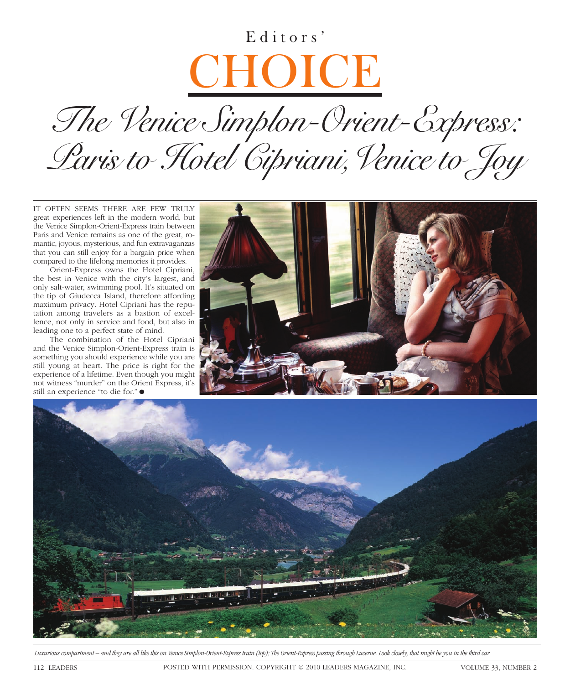## Editors' **CHOICE**

*The Venice Simplon-Orient-Express: Paris to Hotel Cipriani,Venice to Joy*

IT OFTEN SEEMS THERE ARE FEW TRULY great experiences left in the modern world, but the Venice Simplon-Orient-Express train between Paris and Venice remains as one of the great, romantic, joyous, mysterious, and fun extravaganzas that you can still enjoy for a bargain price when compared to the lifelong memories it provides.

Orient-Express owns the Hotel Cipriani, the best in Venice with the city's largest, and only salt-water, swimming pool. It's situated on the tip of Giudecca Island, therefore affording maximum privacy. Hotel Cipriani has the reputation among travelers as a bastion of excellence, not only in service and food, but also in leading one to a perfect state of mind.

The combination of the Hotel Cipriani and the Venice Simplon-Orient-Express train is something you should experience while you are still young at heart. The price is right for the experience of a lifetime. Even though you might not witness "murder" on the Orient Express, it's still an experience "to die for." ●





 *Luxurious compartment – and they are all like this on Venice Simplon-Orient-Express train (top); The Orient-Express passing through Lucerne. Look closely, that might be you in the third car*